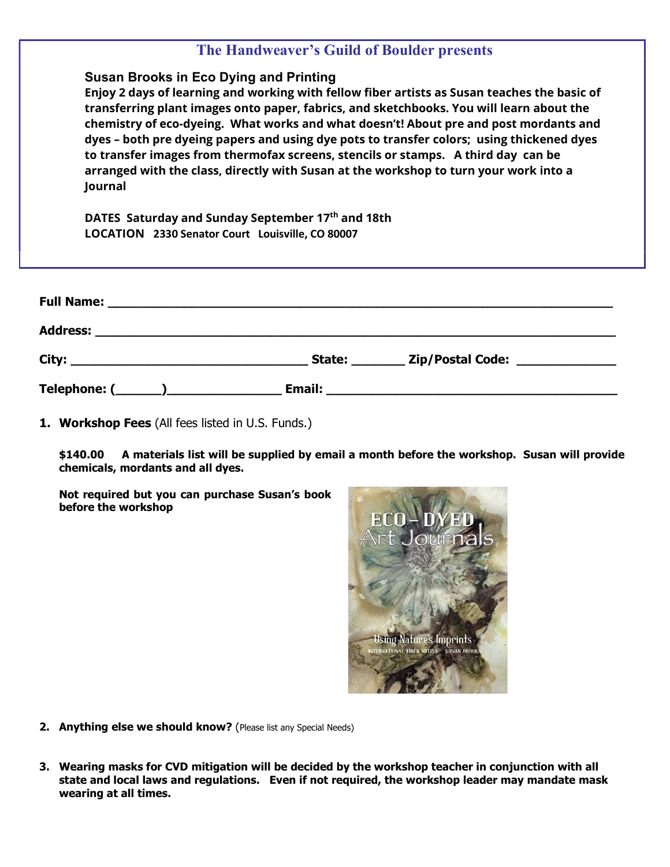|         | The Handweaver's Guild of Boulder presents                                                                                         |                                                                                                                                                                                                                                                                                                                                                                                                                                                                         |
|---------|------------------------------------------------------------------------------------------------------------------------------------|-------------------------------------------------------------------------------------------------------------------------------------------------------------------------------------------------------------------------------------------------------------------------------------------------------------------------------------------------------------------------------------------------------------------------------------------------------------------------|
| Journal | <b>Susan Brooks in Eco Dying and Printing</b><br>to transfer images from thermofax screens, stencils or stamps. A third day can be | Enjoy 2 days of learning and working with fellow fiber artists as Susan teaches the basic of<br>transferring plant images onto paper, fabrics, and sketchbooks. You will learn about the<br>chemistry of eco-dyeing. What works and what doesn't! About pre and post mordants and<br>dyes - both pre dyeing papers and using dye pots to transfer colors; using thickened dyes<br>arranged with the class, directly with Susan at the workshop to turn your work into a |
|         | DATES Saturday and Sunday September 17th and 18th<br>LOCATION 2330 Senator Court Louisville, CO 80007                              |                                                                                                                                                                                                                                                                                                                                                                                                                                                                         |
|         |                                                                                                                                    |                                                                                                                                                                                                                                                                                                                                                                                                                                                                         |
|         |                                                                                                                                    |                                                                                                                                                                                                                                                                                                                                                                                                                                                                         |
|         |                                                                                                                                    | State: _________ Zip/Postal Code: _______________                                                                                                                                                                                                                                                                                                                                                                                                                       |
|         | <b>Email:</b>                                                                                                                      |                                                                                                                                                                                                                                                                                                                                                                                                                                                                         |

1. Workshop Fees (All fees listed in U.S. Funds.)

\$140.00 A materials list will be supplied by email a month before the workshop. Susan will provide chemicals, mordants and all dyes.

Not required but you can purchase Susan's book before the workshop



- 2. Anything else we should know? (Please list any Special Needs)
- 3. Wearing masks for CVD mitigation will be decided by the workshop teacher in conjunction with all state and local laws and regulations. Even if not required, the workshop leader may mandate mask wearing at all times.